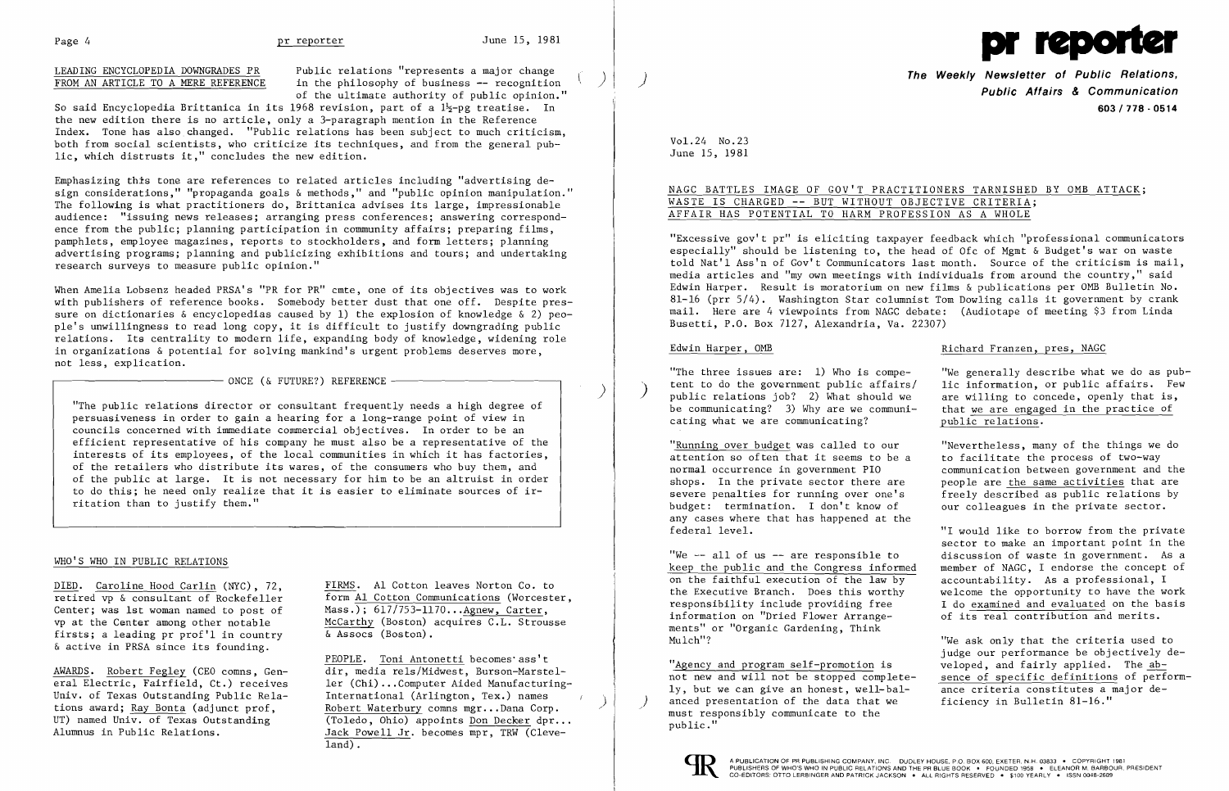

# LEADING ENCYCLOPEDIA DOWNGRADES PR FROM AN ARTICLE TO A MERE REFERENCE

Public relations "represents a major change in the philosophy of business -- recognition of the ultimate authority of public opinion."

So said Encyclopedia Brittanica in its 1968 revision, part of a  $1/5$ -pg treatise. In the new edition there is no article, only a 3-paragraph mention in the Reference Index. Tone has also changed. "Public relations has been subject to much criticism, both from social scientists, who criticize its techniques, and from the general public, which distrusts it," concludes the new edition.

Emphasizing this tone are references to related articles including "advertising design considerations," "propaganda goals & methods," and "public opinion manipulation." The following is what practitioners do, Brittanica advises its large, impressionable audience: "issuing news releases; arranging press conferences; answering correspondence from the public; planning participation in community affairs; preparing films, pamphlets, employee magazines, reports to stockholders, and form letters; planning advertising programs; planning and publicizing exhibitions and tours; and undertaking research surveys to measure public opinion."

Center; was 1st woman named to post of<br>vp at the Center among other notable firsts; a leading pr prof'l in country & active in PRSA since its founding.

When Amelia Lobsenz headed PRSA's "PR for PR" cmte, one of its objectives was to work with publishers of reference books. Somebody better dust that one off. Despite pressure on dictionaries & encyclopedias caused by 1) the explosion of knowledge & 2) people's unwillingness to read long copy, it is difficult to justify downgrading public relations. Its centrality to modern life, expanding body of knowledge, widening role in organizations & potential for solving mankind's urgent problems deserves more, not less, explication.

 $-$  ONCE (& FUTURE?) REFERENCE

**The Weekly Newsletter of Public Relations, Public Affairs & Communication 603/718 - 0514** 

)

"The three issues are: 1) Who is compe-<br>tent to do the government public affairs/ lic information, or public affairs. Few tent to do the government public affairs/ lic information, or public affairs. Few public relations job? 2) What should we are willing to concede, openly that is, be communicating? 3) Why are we communi- that we are engaged that we are engaged in the practice of<br>public relations. cating what we are communicating?

"The public relations director or consultant frequently needs a high degree of persuasiveness in order to gain a hearing for a long-range point of view in councils concerned with immediate commercial objectives. In order to be an efficient representative of his company he must also be a representative of the interests of its employees, of the local communities in which it has factories, of the retailers who distribute its wares, of the consumers who buy them, and of the public at large. It is not necessary for him to be an altruist in order to do this; he need only realize that it is easier to eliminate sources of irritation than to justify them."

### WHO'S WHO IN PUBLIC RELATIONS

attention so often that it seems to be a normal occurrence in government PIO budget: termination. I don't know of our colleagues in the private sector. any cases where that has happened at the

federal level. "I would like to borrow from the private sector to make an important point in the<br>discussion of waste in government. As a member of NAGC, I endorse the concept of accountability. As a professional, I the Executive Branch. Does this worthy welcome the opportunity to have the work<br>responsibility include providing free  $\qquad$  I do examined and evaluated on the basis I do examined and evaluated on the basis<br>of its real contribution and merits.

judge our performance be objectively de-<br>veloped, and fairly applied. The ab-"Agency and program self-promotion is veloped, and fairly applied. The ab-<br>not new and will not be stopped complete- sence of specific definitions of perform-

"We  $--$  all of us  $--$  are responsible to keep the public and the Congress informed. on the faithful execution of the law by information on "Dried Flower Arrangements" or "Organic Gardening, Think Mulch"? "We ask only that the criteria used to

not new and will not be stopped completely, but we can give an honest, well-bal- ance criteria constitutes a major de-<br>anced presentation of the data that we ficiency in Bulletin 81-16." anced presentation of the data that we must responsibly communicate to the public."



PEOPLE. Toni Antonetti becomes'ass't AWARDS. Robert Fegley (CEO comns, Gen- dir, media rels/Midwest, Burson-Marsteleral Electric, Fairfield, Ct.) receives ler (Chi) ...Computer Aided Manufacturing-International (Arlington, Tex.) names enty. Of fexas outstanding rublic Kela-<br>tions award; <u>Ray Bonta</u> (adjunct prof, ) Nebert Waterbury comns mgr...Dana Corp. tions award; <u>Ray Bonta</u> (adjunct prof, <br>UT) named Univ. of Texas Outstanding (Toledo, Ohio) appoints <u>Don Decker</u> dpr...<br>Alumnus in Public Relations. Jack Powell Jr. becomes mpr. TRW (Cleve-Jack Powell Jr. becomes mpr, TRW (Cleveland).

Univ. of Texas Outstanding Public Rela-

DIED. Caroline Hood Carlin (NYC), 72, FIRMS. Al Cotton leaves Norton Co. to retired vp & consultant of Rockefeller  $\overline{f}$  form Al Cotton Communications (Worceste form  $AL$  Cotton Communications (Worcester, Mass.); 617/753-1170...Agnew, Carter, McCarthy (Boston) acquires  $\overline{C.L.}$  Strousse  $\overline{\&}$  Assocs (Boston).

Vol. 24 No. 23 June IS, 1981

NAGC BATTLES IMAGE OF GOV'T PRACTITIONERS TARNISHED BY OMB ATTACK;

Edwin Harper, OMB **Richard Franzen**, pres, NAGC

"Running over budget was called to our "Nevertheless, many of the things we do<br>attention so often that it seems to be a to facilitate the process of two-way normal occurrence in government PIO communication between government and the shops. In the private sector there are people are the same activities that are shops. In the private sector there are <br>severe penalties for running over one's freely described as public relations by freely described as public relations by

# WASTE IS CHARGED -- BUT WITHOUT OBJECTIVE CRITERIA; AFFAIR HAS POTENTIAL TO HARM PROFESSION AS A WHOLE

"Excessive gov't pr" is eliciting taxpayer feedback which "professional communicators especially" should be listening to, the head of Ofc of Mgmt & Budget's war on waste told Nat'l Ass'n of Gov't Communicators last month. Source of the criticism is mail, media articles and "my own meetings with individuals from around the country," said Edwin Harper. Result is moratorium on new films & publications per OMB Bulletin No. 81-16 (prr 5/4). Washington Star columnist Tom Dowling calls it government by crank mail. Here are 4 viewpoints from NAGC debate: (Audiotape of meeting \$3 from Linda Busetti, P.O. Box 7127, Alexandria, Va. 22307)